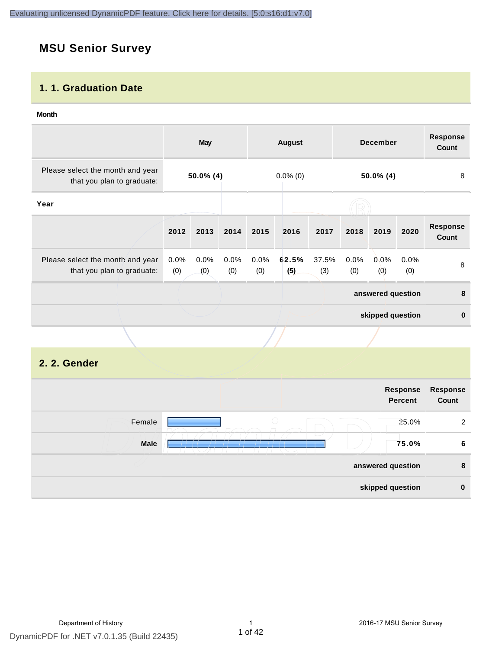# **MSU Senior Survey**

#### **1. 1. Graduation Date**

#### **Month**

|                                                                | <b>May</b>     |             | <b>August</b> |             | <b>December</b>  |              | <b>Response</b><br>Count |                   |             |                          |
|----------------------------------------------------------------|----------------|-------------|---------------|-------------|------------------|--------------|--------------------------|-------------------|-------------|--------------------------|
| Please select the month and year<br>that you plan to graduate: | $50.0\%$ (4)   |             | $0.0\%$ (0)   |             |                  | $50.0\%$ (4) |                          | 8                 |             |                          |
| Year                                                           |                |             |               |             |                  |              |                          |                   |             |                          |
|                                                                | 2012           | 2013        | 2014          | 2015        | 2016             | 2017         | 2018                     | 2019              | 2020        | <b>Response</b><br>Count |
| Please select the month and year<br>that you plan to graduate: | $0.0\%$<br>(0) | 0.0%<br>(0) | 0.0%<br>(0)   | 0.0%<br>(0) | 62.5%<br>(5)     | 37.5%<br>(3) | 0.0%<br>(0)              | 0.0%<br>(0)       | 0.0%<br>(0) | 8                        |
|                                                                |                |             |               |             |                  |              |                          | answered question |             | 8                        |
|                                                                |                |             |               |             | skipped question |              |                          | $\mathbf 0$       |             |                          |
|                                                                |                |             |               |             |                  |              |                          |                   |             |                          |

# **2. 2. Gender**

|        | Response<br><b>Percent</b> | Response<br>Count |
|--------|----------------------------|-------------------|
| Female | 25.0%                      | 2                 |
| Male   | 75.0%                      | 6                 |
|        | answered question          | 8                 |
|        | skipped question           | $\bf{0}$          |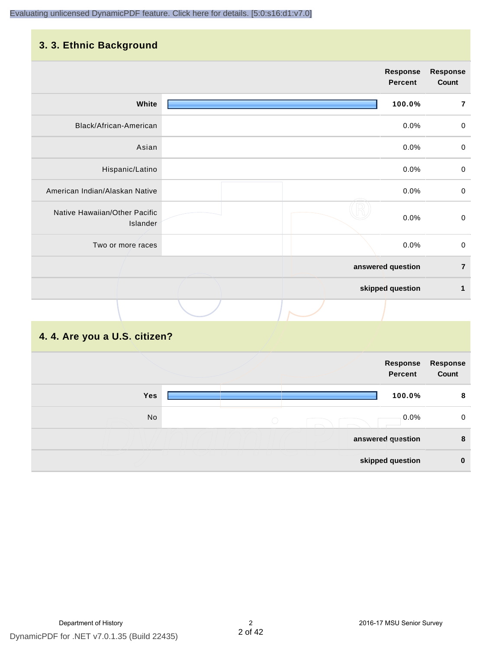# **3. 3. Ethnic Background**

|                                           | <b>Response</b><br>Percent | <b>Response</b><br>Count |
|-------------------------------------------|----------------------------|--------------------------|
| White                                     | 100.0%                     | $\overline{7}$           |
| Black/African-American                    | 0.0%                       | $\pmb{0}$                |
| Asian                                     | 0.0%                       | $\mathbf 0$              |
| Hispanic/Latino                           | 0.0%                       | $\pmb{0}$                |
| American Indian/Alaskan Native            | 0.0%                       | $\mathbf 0$              |
| Native Hawaiian/Other Pacific<br>Islander | 0.0%                       | $\mathbf 0$              |
| Two or more races                         | 0.0%                       | $\mathsf{O}$             |
|                                           | answered question          | $\overline{7}$           |
|                                           | skipped question           | $\mathbf{1}$             |
|                                           |                            |                          |

# **4. 4. Are you a U.S. citizen?**

|     | Response<br><b>Percent</b> | Response<br>Count |
|-----|----------------------------|-------------------|
| Yes | 100.0%                     | 8                 |
| No  | 0.0%<br>$\bigcirc$         | 0                 |
|     | answered question          | 8                 |
|     | skipped question           | $\bf{0}$          |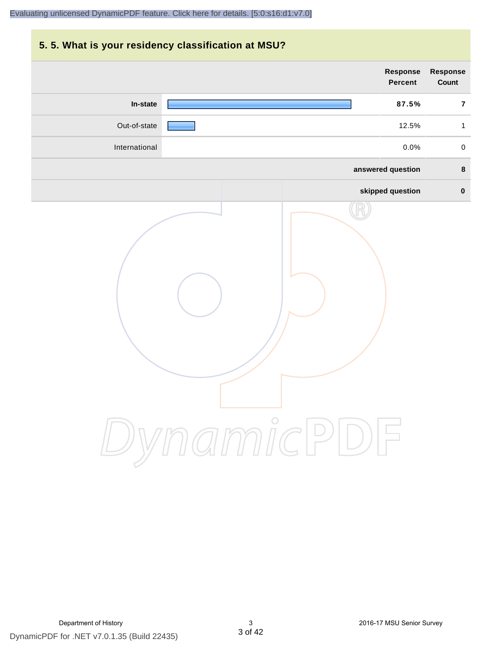# **5. 5. What is your residency classification at MSU? Response Response Percent Count In-state 87.5% 7** Out-of-state 12.5% 1 International 0.0% 0 **answered question 8 skipped question 0** DynamicPDF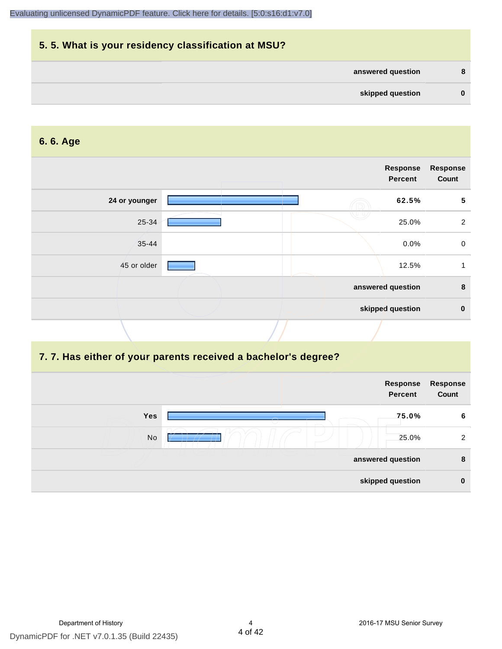| 5.5. What is your residency classification at MSU? |          |
|----------------------------------------------------|----------|
| answered question                                  | -8       |
| skipped question                                   | $\bf{0}$ |

#### **6. 6. Age**

|               | Response<br><b>Percent</b> | <b>Response</b><br>Count |
|---------------|----------------------------|--------------------------|
| 24 or younger | 62.5%                      | 5                        |
| 25-34         | 25.0%                      | 2                        |
| $35 - 44$     | 0.0%                       | $\mathbf 0$              |
| 45 or older   | 12.5%                      |                          |
|               | answered question          | 8                        |
|               | skipped question           | $\mathbf 0$              |

# **7. 7. Has either of your parents received a bachelor's degree?**

|     | Response<br><b>Percent</b> | Response<br>Count |
|-----|----------------------------|-------------------|
| Yes | 75.0%                      | 6                 |
| No  | 25.0%                      | $\overline{2}$    |
|     | answered question          | 8                 |
|     | skipped question           | 0                 |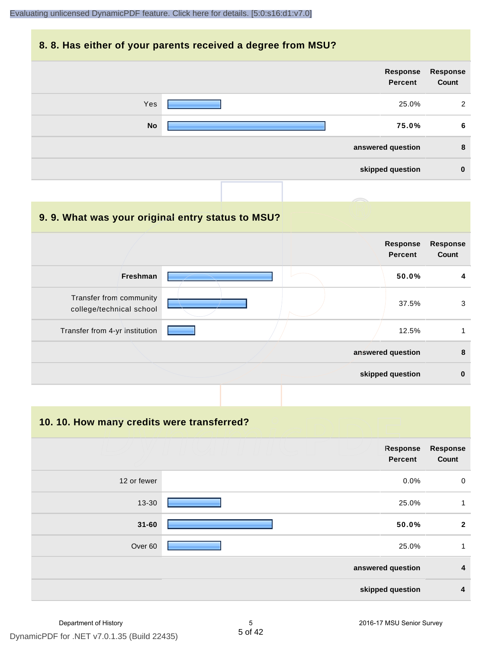#### **8. 8. Has either of your parents received a degree from MSU?**

# **9. 9. What was your original entry status to MSU?**

|                                                     | <b>Response</b><br><b>Percent</b> | <b>Response</b><br>Count |
|-----------------------------------------------------|-----------------------------------|--------------------------|
| Freshman                                            | 50.0%                             | 4                        |
| Transfer from community<br>college/technical school | 37.5%                             | 3                        |
| Transfer from 4-yr institution                      | 12.5%                             |                          |
|                                                     | answered question                 | 8                        |
|                                                     | skipped question                  | $\bf{0}$                 |

#### **10. 10. How many credits were transferred?**

|             | Response<br><b>Percent</b> | <b>Response</b><br>Count |
|-------------|----------------------------|--------------------------|
| 12 or fewer | 0.0%                       | $\mathbf 0$              |
| 13-30       | 25.0%                      | 1                        |
| $31 - 60$   | 50.0%                      | $\mathbf{2}$             |
| Over 60     | 25.0%                      | 1                        |
|             | answered question          | $\overline{4}$           |
|             | skipped question           | 4                        |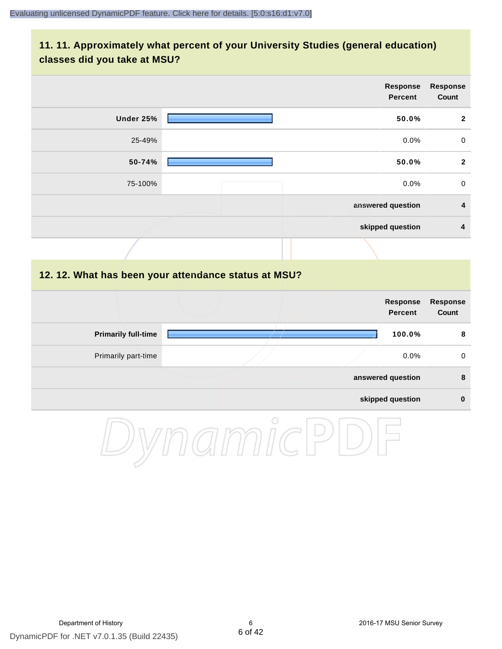#### **11. 11. Approximately what percent of your University Studies (general education) classes did you take at MSU?**

|                            | <b>Response</b><br><b>Percent</b>                    | <b>Response</b><br>Count |
|----------------------------|------------------------------------------------------|--------------------------|
| Under 25%                  | 50.0%                                                | $\mathbf{2}$             |
| 25-49%                     | 0.0%                                                 | $\mathbf 0$              |
| 50-74%                     | 50.0%                                                | $\mathbf{2}$             |
| 75-100%                    | 0.0%                                                 | $\pmb{0}$                |
|                            | answered question                                    | 4                        |
|                            | skipped question                                     | 4                        |
|                            |                                                      |                          |
|                            | 12. 12. What has been your attendance status at MSU? |                          |
|                            | <b>Response</b><br><b>Percent</b>                    | Response<br>Count        |
| <b>Primarily full-time</b> | 100.0%                                               | 8                        |
| Primarily part-time        | 0.0%                                                 | $\mathbf 0$              |
|                            | answered question                                    | $\pmb{8}$                |
|                            | skipped question                                     | $\pmb{0}$                |
|                            | $\bigcirc$                                           |                          |

DynamicPDF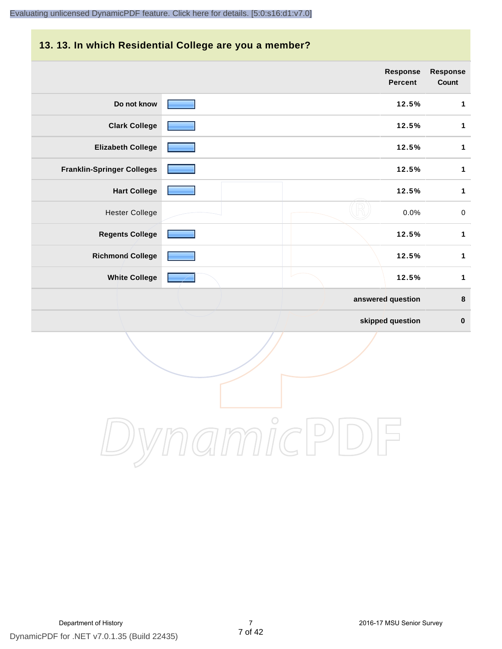#### **13. 13. In which Residential College are you a member?**

|                                   | Response<br><b>Percent</b> | <b>Response</b><br>Count |
|-----------------------------------|----------------------------|--------------------------|
| Do not know                       | 12.5%                      | $\mathbf 1$              |
| <b>Clark College</b>              | 12.5%                      | 1                        |
| <b>Elizabeth College</b>          | 12.5%                      | $\mathbf{1}$             |
| <b>Franklin-Springer Colleges</b> | 12.5%                      | 1                        |
| <b>Hart College</b>               | 12.5%                      | 1                        |
| <b>Hester College</b>             | 0.0%                       | $\pmb{0}$                |
| <b>Regents College</b>            | 12.5%                      | $\mathbf{1}$             |
| <b>Richmond College</b>           | 12.5%                      | 1                        |
| <b>White College</b>              | 12.5%                      | 1                        |
|                                   | answered question          | $\bf{8}$                 |
|                                   | skipped question           | $\pmb{0}$                |

DynamicPDF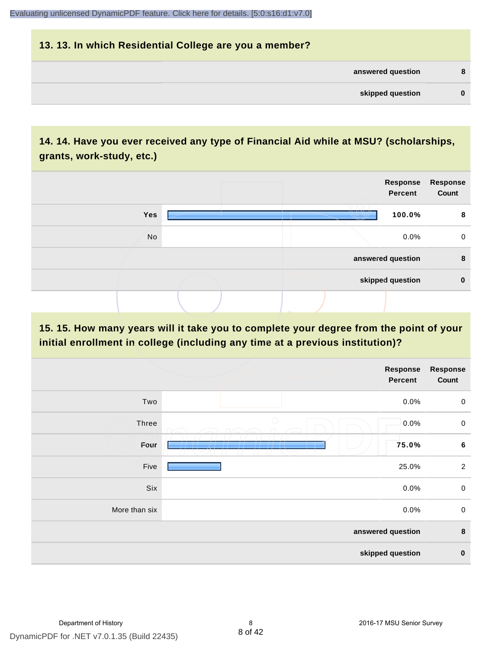| 13. 13. In which Residential College are you a member? |          |
|--------------------------------------------------------|----------|
| answered question                                      | 8        |
| skipped question                                       | $\bf{0}$ |

# **14. 14. Have you ever received any type of Financial Aid while at MSU? (scholarships, grants, work-study, etc.)**



**15. 15. How many years will it take you to complete your degree from the point of your initial enrollment in college (including any time at a previous institution)?**

|               | <b>Response</b><br><b>Percent</b>                                       | <b>Response</b><br>Count |
|---------------|-------------------------------------------------------------------------|--------------------------|
| Two           | 0.0%                                                                    | $\pmb{0}$                |
| Three         | $\bigcirc$<br>0.0%                                                      | $\mathbf 0$              |
| Four          | 75.0%<br>an jang dan mengaran jawa tersebut pada tahun 1992.<br>, , , , | $\bf 6$                  |
| Five          | 25.0%                                                                   | $\overline{2}$           |
| Six           | 0.0%                                                                    | $\pmb{0}$                |
| More than six | 0.0%                                                                    | $\mathbf 0$              |
|               | answered question                                                       | $\pmb{8}$                |
|               | skipped question                                                        | $\bf{0}$                 |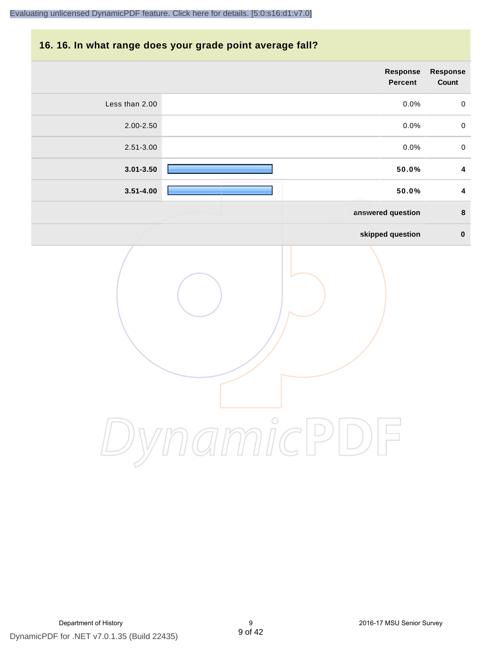#### **16. 16. In what range does your grade point average fall?**

| Response<br>Count       | Response<br>Percent |                |
|-------------------------|---------------------|----------------|
| $\pmb{0}$               | $0.0\%$             | Less than 2.00 |
| $\pmb{0}$               | $0.0\%$             | $2.00 - 2.50$  |
| $\mathbf 0$             | $0.0\%$             | 2.51-3.00      |
| $\overline{\mathbf{4}}$ | 50.0%               | $3.01 - 3.50$  |
| $\pmb{4}$               | 50.0%               | $3.51 - 4.00$  |
| $\pmb{8}$               | answered question   |                |
| $\pmb{0}$               | skipped question    |                |
|                         |                     |                |

DynamicPDF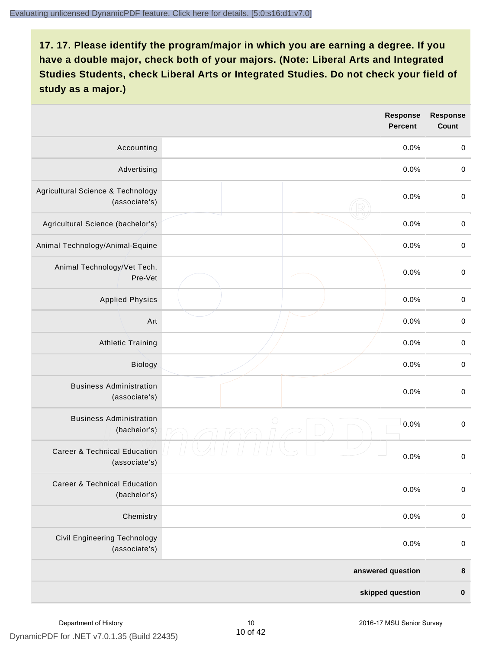|                                                          |                   | <b>Response</b><br><b>Percent</b> | <b>Response</b><br>Count |
|----------------------------------------------------------|-------------------|-----------------------------------|--------------------------|
| Accounting                                               |                   | 0.0%                              | $\mathbf 0$              |
| Advertising                                              |                   | 0.0%                              | $\,0\,$                  |
| Agricultural Science & Technology<br>(associate's)       |                   | 0.0%                              | $\,0\,$                  |
| Agricultural Science (bachelor's)                        |                   | 0.0%                              | $\mathbf 0$              |
| Animal Technology/Animal-Equine                          |                   | 0.0%                              | $\mathbf 0$              |
| Animal Technology/Vet Tech,<br>Pre-Vet                   |                   | 0.0%                              | $\mathbf 0$              |
| <b>Applied Physics</b>                                   |                   | 0.0%                              | $\mathbf 0$              |
| Art                                                      |                   | 0.0%                              | $\mathbf 0$              |
| <b>Athletic Training</b>                                 |                   | 0.0%                              | $\mathbf 0$              |
| Biology                                                  |                   | 0.0%                              | $\mbox{O}$               |
| <b>Business Administration</b><br>(associate's)          |                   | 0.0%                              | $\,0\,$                  |
| <b>Business Administration</b><br>(bachelor's)           | $\bigcirc$        | 0.0%                              | $\mathbf 0$              |
| <b>Career &amp; Technical Education</b><br>(associate's) |                   | 0.0%                              | $\mathsf{O}\xspace$      |
| <b>Career &amp; Technical Education</b><br>(bachelor's)  |                   | 0.0%                              | $\mathbf 0$              |
| Chemistry                                                |                   | 0.0%                              | $\mathbf 0$              |
| <b>Civil Engineering Technology</b><br>(associate's)     |                   | 0.0%                              | $\mathbf 0$              |
|                                                          | answered question |                                   | 8                        |
|                                                          |                   | skipped question                  | $\pmb{0}$                |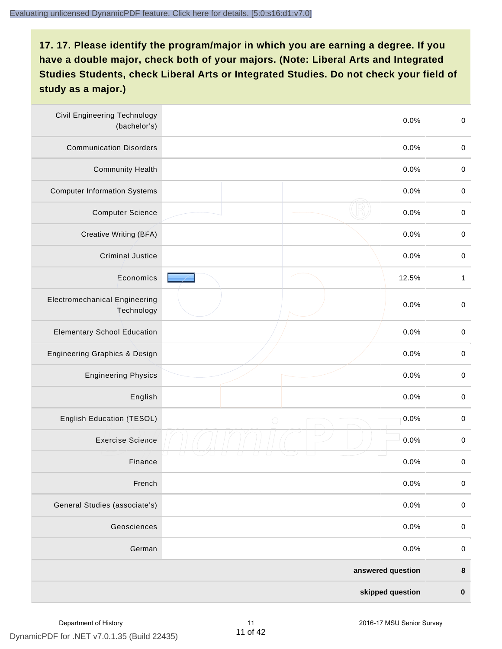| <b>Civil Engineering Technology</b><br>(bachelor's) | 0.0%               | $\mathbf 0$  |
|-----------------------------------------------------|--------------------|--------------|
| <b>Communication Disorders</b>                      | 0.0%               | $\mathbf 0$  |
| <b>Community Health</b>                             | 0.0%               | $\mathbf 0$  |
| <b>Computer Information Systems</b>                 | 0.0%               | $\pmb{0}$    |
| <b>Computer Science</b>                             | 0.0%               | $\mathbf 0$  |
| Creative Writing (BFA)                              | 0.0%               | $\mathbf 0$  |
| <b>Criminal Justice</b>                             | 0.0%               | $\mathbf 0$  |
| Economics                                           | 12.5%              | $\mathbf{1}$ |
| <b>Electromechanical Engineering</b><br>Technology  | 0.0%               | $\mathbf 0$  |
| <b>Elementary School Education</b>                  | 0.0%               | $\mathbf 0$  |
| <b>Engineering Graphics &amp; Design</b>            | 0.0%               | $\,0\,$      |
| <b>Engineering Physics</b>                          | 0.0%               | $\,0\,$      |
| English                                             | 0.0%               | $\mathbf 0$  |
| English Education (TESOL)                           | 0.0%<br>$\bigcirc$ | $\pmb{0}$    |
| <b>Exercise Science</b>                             | 0.0%               | $\pmb{0}$    |
| Finance                                             | 0.0%               | $\,0\,$      |
| French                                              | 0.0%               | $\pmb{0}$    |
| General Studies (associate's)                       | 0.0%               | $\mathbf 0$  |
| Geosciences                                         | 0.0%               | $\pmb{0}$    |
| German                                              | 0.0%               | $\mathbf 0$  |
|                                                     | answered question  | $\pmb{8}$    |
|                                                     | skipped question   | $\pmb{0}$    |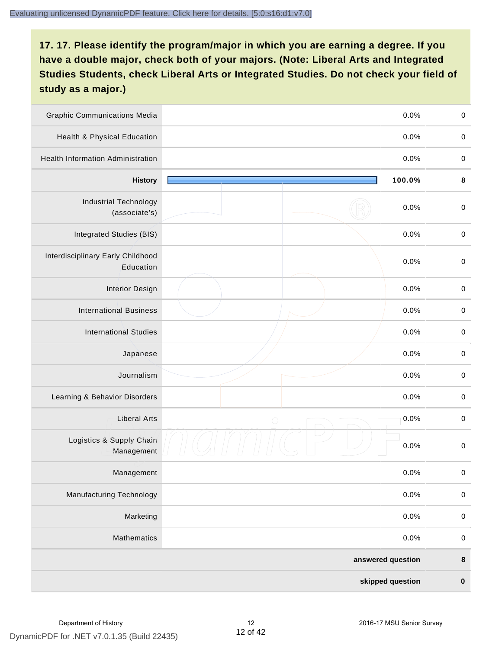| <b>Graphic Communications Media</b>            |            | 0.0%              | $\mathbf 0$ |
|------------------------------------------------|------------|-------------------|-------------|
| <b>Health &amp; Physical Education</b>         |            | 0.0%              | $\mathbf 0$ |
| <b>Health Information Administration</b>       |            | 0.0%              | $\pmb{0}$   |
| <b>History</b>                                 |            | 100.0%            | 8           |
| <b>Industrial Technology</b><br>(associate's)  |            | 0.0%              | $\pmb{0}$   |
| Integrated Studies (BIS)                       |            | 0.0%              | $\pmb{0}$   |
| Interdisciplinary Early Childhood<br>Education |            | 0.0%              | $\mathbf 0$ |
| <b>Interior Design</b>                         |            | 0.0%              | $\pmb{0}$   |
| <b>International Business</b>                  |            | 0.0%              | $\mathbf 0$ |
| <b>International Studies</b>                   |            | 0.0%              | $\pmb{0}$   |
| Japanese                                       |            | 0.0%              | $\mathbf 0$ |
| Journalism                                     |            | 0.0%              | $\pmb{0}$   |
| Learning & Behavior Disorders                  |            | 0.0%              | $\pmb{0}$   |
| <b>Liberal Arts</b>                            | $\bigcirc$ | 0.0%              | $\mathbf 0$ |
| Logistics & Supply Chain<br>Management         |            | 0.0%              | $\pmb{0}$   |
| Management                                     |            | 0.0%              | $\pmb{0}$   |
| <b>Manufacturing Technology</b>                |            | 0.0%              | $\mathbf 0$ |
| Marketing                                      |            | 0.0%              | $\mathbf 0$ |
| Mathematics                                    |            | 0.0%              | $\mathbf 0$ |
|                                                |            | answered question | $\pmb{8}$   |
|                                                |            | skipped question  | $\pmb{0}$   |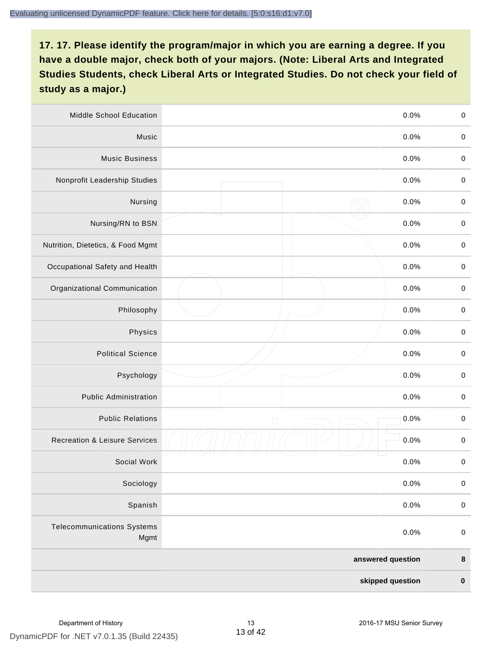| <b>Middle School Education</b>            | 0.0%               | $\,0\,$     |
|-------------------------------------------|--------------------|-------------|
| Music                                     | 0.0%               | $\mathbf 0$ |
| <b>Music Business</b>                     | 0.0%               | $\mathbf 0$ |
| Nonprofit Leadership Studies              | 0.0%               | $\pmb{0}$   |
| Nursing                                   | 0.0%               | $\pmb{0}$   |
| Nursing/RN to BSN                         | 0.0%               | $\,0\,$     |
| Nutrition, Dietetics, & Food Mgmt         | 0.0%               | $\pmb{0}$   |
| Occupational Safety and Health            | 0.0%               | $\mathbf 0$ |
| Organizational Communication              | 0.0%               | $\pmb{0}$   |
| Philosophy                                | 0.0%               | $\pmb{0}$   |
| Physics                                   | 0.0%               | $\,0\,$     |
| <b>Political Science</b>                  | 0.0%               | $\mathbf 0$ |
| Psychology                                | 0.0%               | $\pmb{0}$   |
| <b>Public Administration</b>              | 0.0%               | $\pmb{0}$   |
| <b>Public Relations</b>                   | 0.0%<br>$\bigcirc$ | $\pmb{0}$   |
| <b>Recreation &amp; Leisure Services</b>  | 0.0%               | $\,0\,$     |
| Social Work                               | 0.0%               | $\,0\,$     |
| Sociology                                 | 0.0%               | $\mathbf 0$ |
| Spanish                                   | 0.0%               | $\pmb{0}$   |
| <b>Telecommunications Systems</b><br>Mgmt | 0.0%               | $\pmb{0}$   |
|                                           | answered question  | $\bf8$      |
|                                           | skipped question   | $\pmb{0}$   |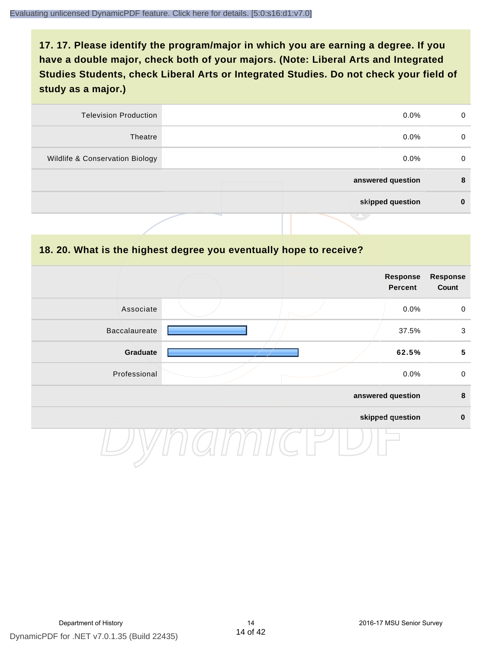| <b>Television Production</b>    | $0.0\%$           | 0 |
|---------------------------------|-------------------|---|
| Theatre                         | $0.0\%$           | 0 |
| Wildlife & Conservation Biology | $0.0\%$           | 0 |
|                                 | answered question | 8 |
|                                 | skipped question  | 0 |
|                                 | . .               |   |

#### **18. 20. What is the highest degree you eventually hope to receive?**

|               |  | Response<br>Percent | <b>Response</b><br>Count |
|---------------|--|---------------------|--------------------------|
| Associate     |  | 0.0%                | $\mathbf 0$              |
| Baccalaureate |  | 37.5%               | $\mathbf{3}$             |
| Graduate      |  | 62.5%               | $5\phantom{a}$           |
| Professional  |  | 0.0%                | $\mathsf{O}$             |
|               |  | answered question   | 8                        |
|               |  | skipped question    | $\mathbf 0$              |
|               |  |                     |                          |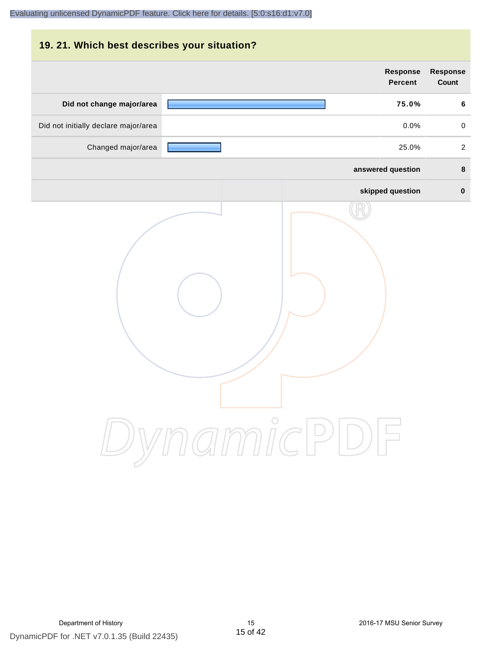# **19. 21. Which best describes your situation? Response Response Percent Count Did not change major/area 75.0% 6** Did not initially declare major/area  $0.0\%$  0.0% 0.0% Changed major/area **25.0%** 2 **answered question 8 skipped question 0** DynamicPDF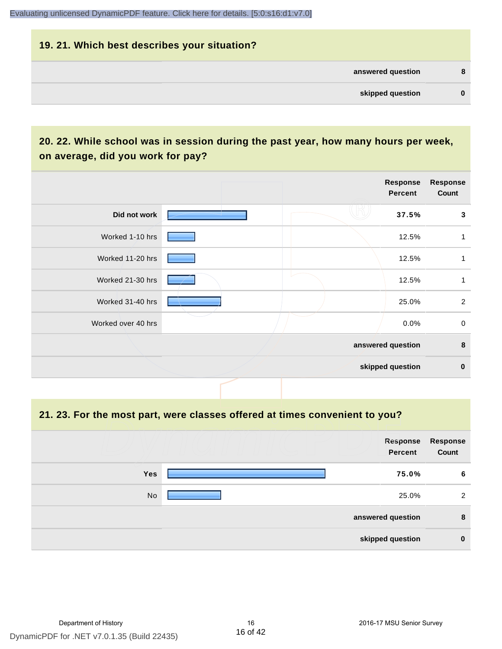# **19. 21. Which best describes your situation? answered question 8 skipped question 0**

# **20. 22. While school was in session during the past year, how many hours per week, on average, did you work for pay?**

|                    | Response<br>Percent | <b>Response</b><br>Count |
|--------------------|---------------------|--------------------------|
| Did not work       | 37.5%               | 3                        |
| Worked 1-10 hrs    | 12.5%               | 1                        |
| Worked 11-20 hrs   | 12.5%               | 1                        |
| Worked 21-30 hrs   | 12.5%               | 1                        |
| Worked 31-40 hrs   | 25.0%               | $\overline{2}$           |
| Worked over 40 hrs | 0.0%                | $\mathbf 0$              |
|                    | answered question   | $\pmb{8}$                |
|                    | skipped question    | $\mathbf 0$              |

**21. 23. For the most part, were classes offered at times convenient to you?**

|            | Response<br>Percent | Response<br>Count |
|------------|---------------------|-------------------|
| <b>Yes</b> | 75.0%               | 6                 |
| No         | 25.0%               | 2                 |
|            | answered question   | 8                 |
|            | skipped question    | $\mathbf 0$       |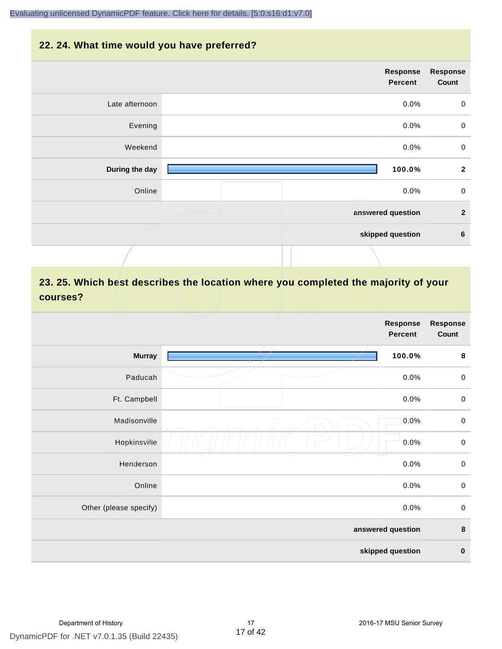#### **22. 24. What time would you have preferred?**

|                | Response<br>Percent | <b>Response</b><br>Count |
|----------------|---------------------|--------------------------|
| Late afternoon | 0.0%                | $\pmb{0}$                |
| Evening        | 0.0%                | $\pmb{0}$                |
| Weekend        | 0.0%                | $\mathbf 0$              |
| During the day | 100.0%              | $\mathbf{2}$             |
| Online         | 0.0%                | $\mathbf 0$              |
|                | answered question   | $\overline{2}$           |
|                | skipped question    | $\bf 6$                  |
|                |                     |                          |

# **23. 25. Which best describes the location where you completed the majority of your courses?**

|                        |            | <b>Response</b><br>Percent | <b>Response</b><br>Count |
|------------------------|------------|----------------------------|--------------------------|
| <b>Murray</b>          |            | 100.0%                     | 8                        |
| Paducah                |            | 0.0%                       | $\mathbf 0$              |
| Ft. Campbell           |            | 0.0%                       | $\pmb{0}$                |
| Madisonville           | $\bigcirc$ | 0.0%                       | $\mathbf 0$              |
| Hopkinsville           |            | 0.0%                       | $\pmb{0}$                |
| Henderson              |            | 0.0%                       | $\mathbf 0$              |
| Online                 |            | 0.0%                       | $\pmb{0}$                |
| Other (please specify) |            | 0.0%                       | $\mathbf 0$              |
|                        |            | answered question          | $\pmb{8}$                |
|                        |            | skipped question           | $\pmb{0}$                |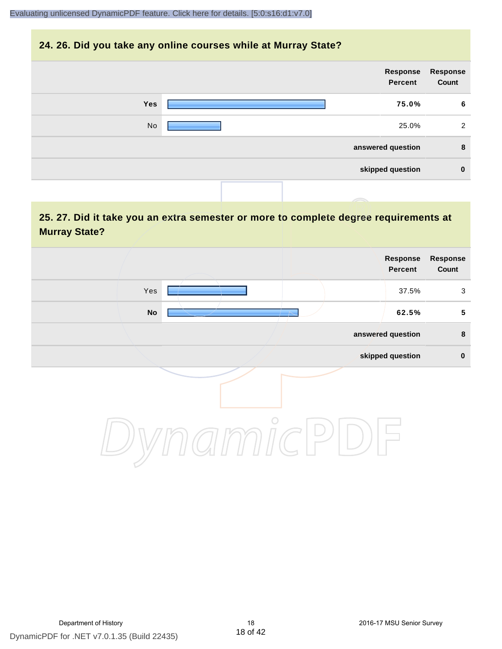#### **24. 26. Did you take any online courses while at Murray State?**

| <b>Response</b><br>Count | Response<br>Percent |  |            |  |
|--------------------------|---------------------|--|------------|--|
| 6                        | 75.0%               |  | <b>Yes</b> |  |
| 2                        | 25.0%               |  | No         |  |
| 8                        | answered question   |  |            |  |
| $\mathbf 0$              | skipped question    |  |            |  |
|                          |                     |  |            |  |

# **25. 27. Did it take you an extra semester or more to complete degree requirements at Murray State?**

|                            | Response<br>Percent | <b>Response</b><br>Count |
|----------------------------|---------------------|--------------------------|
| Yes                        | 37.5%               | $\mathsf 3$              |
| $\mathop{\sf No}\nolimits$ | 62.5%               | ${\bf 5}$                |
|                            | answered question   | $\pmb{8}$                |
|                            | skipped question    | $\pmb{0}$                |
| $\circ$                    |                     |                          |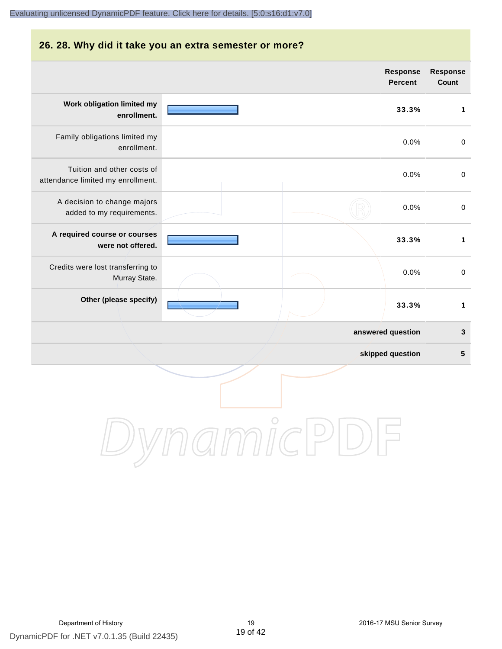#### **26. 28. Why did it take you an extra semester or more?**

|                                                                 | <b>Response</b><br><b>Percent</b> | <b>Response</b><br>Count |
|-----------------------------------------------------------------|-----------------------------------|--------------------------|
| Work obligation limited my<br>enrollment.                       | 33.3%                             | $\mathbf{1}$             |
| Family obligations limited my<br>enrollment.                    | 0.0%                              | $\pmb{0}$                |
| Tuition and other costs of<br>attendance limited my enrollment. | 0.0%                              | $\mathbf 0$              |
| A decision to change majors<br>added to my requirements.        | 0.0%                              | $\pmb{0}$                |
| A required course or courses<br>were not offered.               | 33.3%                             | $\mathbf{1}$             |
| Credits were lost transferring to<br>Murray State.              | 0.0%                              | $\mathsf 0$              |
| Other (please specify)                                          | 33.3%                             | $\mathbf 1$              |
|                                                                 | answered question                 | $\mathbf 3$              |
|                                                                 | skipped question                  | ${\bf 5}$                |
|                                                                 |                                   |                          |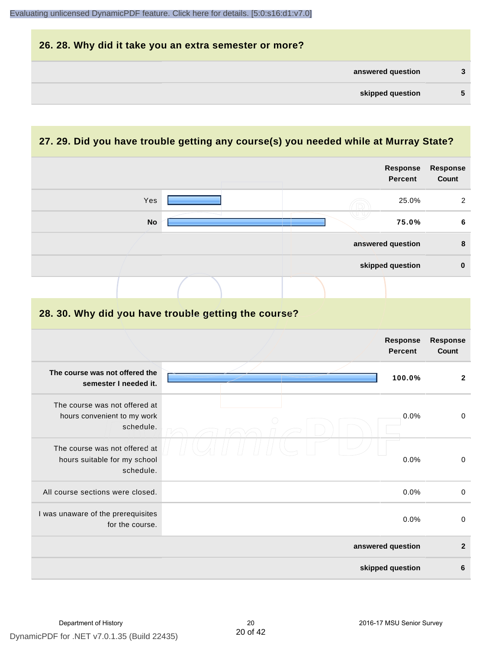

#### **27. 29. Did you have trouble getting any course(s) you needed while at Murray State?**

|                                                                            |                                                      | Response<br><b>Percent</b>        | <b>Response</b><br>Count |
|----------------------------------------------------------------------------|------------------------------------------------------|-----------------------------------|--------------------------|
| Yes                                                                        |                                                      | 25.0%                             | 2                        |
| <b>No</b>                                                                  |                                                      | 75.0%                             | 6                        |
|                                                                            |                                                      | answered question                 | 8                        |
|                                                                            |                                                      | skipped question                  | $\mathbf 0$              |
|                                                                            |                                                      |                                   |                          |
|                                                                            | 28. 30. Why did you have trouble getting the course? |                                   |                          |
|                                                                            |                                                      | <b>Response</b><br><b>Percent</b> | <b>Response</b><br>Count |
| The course was not offered the<br>semester I needed it.                    |                                                      | 100.0%                            | $\mathbf{2}$             |
| The course was not offered at<br>hours convenient to my work<br>schedule.  |                                                      | 0.0%                              | $\pmb{0}$                |
| The course was not offered at<br>hours suitable for my school<br>schedule. |                                                      | 0.0%                              | $\pmb{0}$                |
| All course sections were closed.                                           |                                                      | 0.0%                              | $\mathbf 0$              |
| I was unaware of the prerequisites<br>for the course.                      |                                                      | 0.0%                              | $\pmb{0}$                |
|                                                                            |                                                      | answered question                 | $\overline{2}$           |
|                                                                            |                                                      | skipped question                  | 6                        |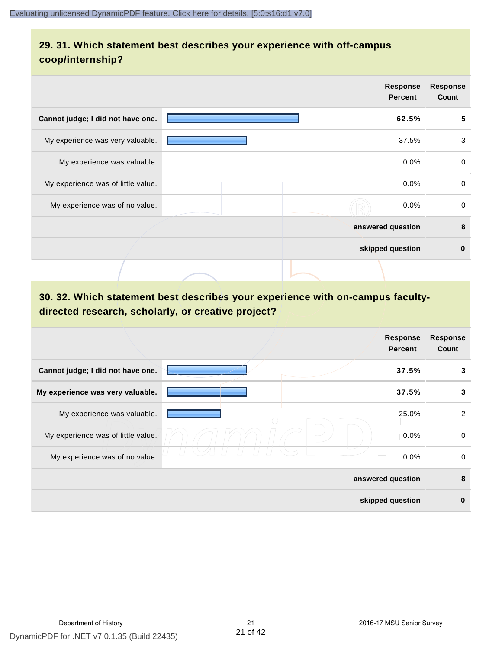# **29. 31. Which statement best describes your experience with off-campus coop/internship?**

|                                    | <b>Response</b><br><b>Percent</b> |
|------------------------------------|-----------------------------------|
| Cannot judge; I did not have one.  | 62.5%                             |
| My experience was very valuable.   | 37.5%                             |
| My experience was valuable.        | $0.0\%$                           |
| My experience was of little value. | $0.0\%$                           |
| My experience was of no value.     | $0.0\%$                           |
|                                    | answered question                 |
|                                    | skipped question                  |
|                                    |                                   |

# **30. 32. Which statement best describes your experience with on-campus facultydirected research, scholarly, or creative project?**

|                                    | <b>Response</b><br><b>Percent</b> | <b>Response</b><br>Count |
|------------------------------------|-----------------------------------|--------------------------|
| Cannot judge; I did not have one.  | 37.5%                             | 3                        |
| My experience was very valuable.   | 37.5%                             | 3                        |
| My experience was valuable.        | 25.0%                             | $\overline{2}$           |
| My experience was of little value. | 0.0%                              | 0                        |
| My experience was of no value.     | 0.0%                              | 0                        |
|                                    | answered question                 | 8                        |
|                                    | skipped question                  | $\bf{0}$                 |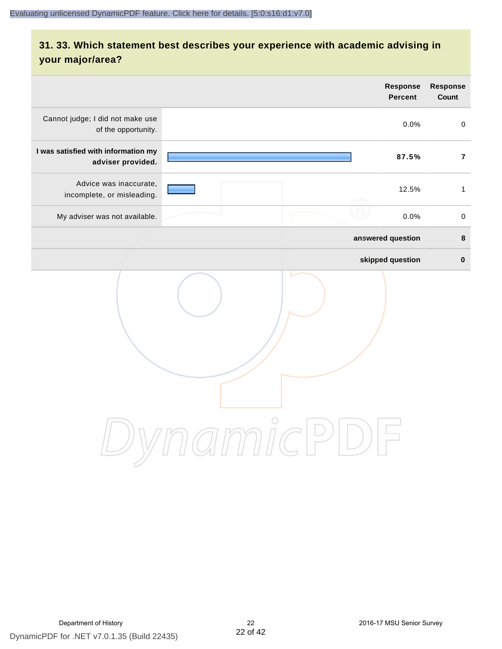# **31. 33. Which statement best describes your experience with academic advising in your major/area?**

|                                                          |         | Response<br><b>Percent</b> | Response<br>Count |
|----------------------------------------------------------|---------|----------------------------|-------------------|
| Cannot judge; I did not make use<br>of the opportunity.  |         | 0.0%                       | $\mathbf 0$       |
| I was satisfied with information my<br>adviser provided. |         | 87.5%                      | $\overline{7}$    |
| Advice was inaccurate,<br>incomplete, or misleading.     |         | 12.5%                      | $\mathbf{1}$      |
| My adviser was not available.                            |         | 0.0%                       | $\,0\,$           |
|                                                          |         | answered question          | $\pmb{8}$         |
|                                                          |         | skipped question           | $\pmb{0}$         |
|                                                          | namicPD |                            |                   |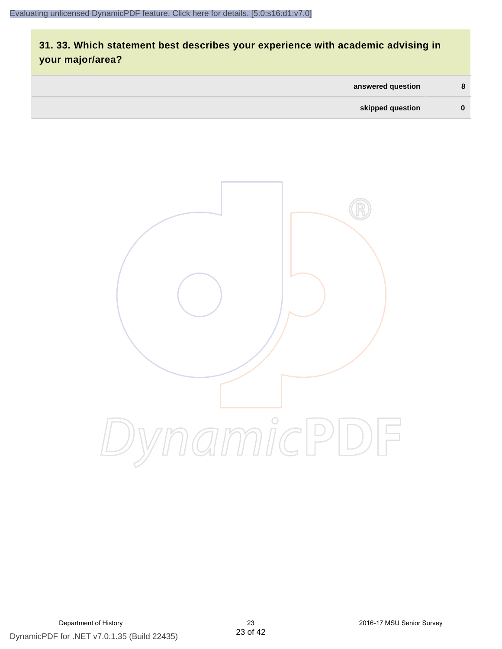# **31. 33. Which statement best describes your experience with academic advising in your major/area?**

| answered question | 8        |
|-------------------|----------|
| skipped question  | $\bf{0}$ |

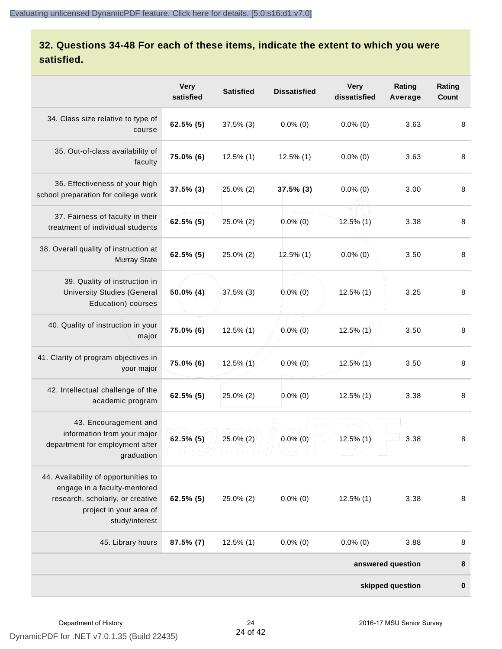# **32. Questions 34-48 For each of these items, indicate the extent to which you were satisfied.**

|                                                                                                                                                       | <b>Very</b><br>satisfied | <b>Satisfied</b> | <b>Dissatisfied</b> | <b>Very</b><br>dissatisfied | Rating<br>Average | Rating<br>Count |
|-------------------------------------------------------------------------------------------------------------------------------------------------------|--------------------------|------------------|---------------------|-----------------------------|-------------------|-----------------|
| 34. Class size relative to type of<br>course                                                                                                          | 62.5% (5)                | $37.5\%$ (3)     | $0.0\%$ (0)         | $0.0\%$ (0)                 | 3.63              | 8               |
| 35. Out-of-class availability of<br>faculty                                                                                                           | 75.0% (6)                | $12.5\%$ (1)     | $12.5\%$ (1)        | $0.0\%$ (0)                 | 3.63              | 8               |
| 36. Effectiveness of your high<br>school preparation for college work                                                                                 | $37.5\%$ (3)             | 25.0% (2)        | $37.5\%$ (3)        | $0.0\%$ (0)                 | 3.00              | 8               |
| 37. Fairness of faculty in their<br>treatment of individual students                                                                                  | $62.5\%$ (5)             | 25.0% (2)        | $0.0\%$ (0)         | $12.5\%$ (1)                | 3.38              | $\,8\,$         |
| 38. Overall quality of instruction at<br><b>Murray State</b>                                                                                          | $62.5\%$ (5)             | 25.0% (2)        | $12.5\%$ (1)        | $0.0\%$ (0)                 | 3.50              | 8               |
| 39. Quality of instruction in<br><b>University Studies (General</b><br>Education) courses                                                             | 50.0% (4)                | $37.5\%$ (3)     | $0.0\%$ (0)         | $12.5\%$ (1)                | 3.25              | $\,8\,$         |
| 40. Quality of instruction in your<br>major                                                                                                           | 75.0% (6)                | $12.5\%$ (1)     | $0.0\%$ (0)         | $12.5\%$ (1)                | 3.50              | 8               |
| 41. Clarity of program objectives in<br>your major                                                                                                    | 75.0% (6)                | $12.5\%$ (1)     | $0.0\%$ (0)         | $12.5\%$ (1)                | 3.50              | 8               |
| 42. Intellectual challenge of the<br>academic program                                                                                                 | $62.5\%$ (5)             | 25.0% (2)        | $0.0\%$ (0)         | $12.5\%$ (1)                | 3.38              | 8               |
| 43. Encouragement and<br>information from your major<br>department for employment after<br>graduation                                                 | $62.5\%$ (5)             | $25.0\%$ (2)     | $0.0\%$ (0)         | $12.5\%$ (1)                | 3.38              | 8               |
| 44. Availability of opportunities to<br>engage in a faculty-mentored<br>research, scholarly, or creative<br>project in your area of<br>study/interest | $62.5\%$ (5)             | 25.0% (2)        | $0.0\%$ (0)         | $12.5\%$ (1)                | 3.38              | 8               |
| 45. Library hours                                                                                                                                     | $87.5\%$ (7)             | $12.5\%$ (1)     | $0.0\%$ (0)         | $0.0\%$ (0)                 | 3.88              | 8               |
|                                                                                                                                                       |                          |                  |                     |                             | answered question | 8               |
|                                                                                                                                                       |                          |                  |                     |                             | skipped question  | $\bf{0}$        |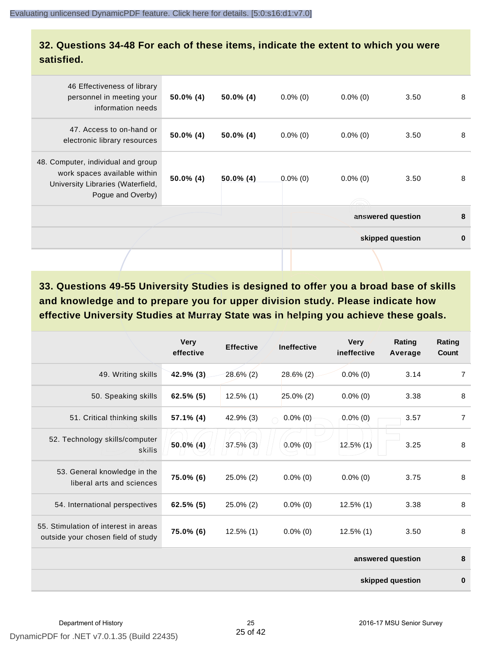#### **32. Questions 34-48 For each of these items, indicate the extent to which you were satisfied.**

| 46 Effectiveness of library<br>personnel in meeting your<br>information needs                                                | $50.0\%$ (4) | $50.0\%$ (4) | $0.0\%$ (0) | $0.0\%$ (0) | 3.50              | 8        |
|------------------------------------------------------------------------------------------------------------------------------|--------------|--------------|-------------|-------------|-------------------|----------|
| 47. Access to on-hand or<br>electronic library resources                                                                     | $50.0\%$ (4) | $50.0\%$ (4) | $0.0\%$ (0) | $0.0\%$ (0) | 3.50              | 8        |
| 48. Computer, individual and group<br>work spaces available within<br>University Libraries (Waterfield,<br>Pogue and Overby) | $50.0\%$ (4) | 50.0% (4)    | $0.0\%$ (0) | $0.0\%$ (0) | 3.50              | 8        |
|                                                                                                                              |              |              |             |             | answered question | 8        |
|                                                                                                                              |              |              |             |             | skipped question  | $\bf{0}$ |
|                                                                                                                              |              |              |             |             |                   |          |

**33. Questions 49-55 University Studies is designed to offer you a broad base of skills and knowledge and to prepare you for upper division study. Please indicate how effective University Studies at Murray State was in helping you achieve these goals.**

|                                                                            | <b>Very</b><br>effective | <b>Effective</b> | <b>Ineffective</b> | <b>Very</b><br>ineffective | Rating<br>Average | Rating<br>Count |
|----------------------------------------------------------------------------|--------------------------|------------------|--------------------|----------------------------|-------------------|-----------------|
| 49. Writing skills                                                         | 42.9% (3)                | $28.6\%$ (2)     | $28.6\%$ (2)       | $0.0\%$ (0)                | 3.14              | $\overline{7}$  |
| 50. Speaking skills                                                        | $62.5\%$ (5)             | $12.5\%$ (1)     | $25.0\%$ (2)       | $0.0\%$ (0)                | 3.38              | 8               |
| 51. Critical thinking skills                                               | $57.1\%$ (4)             | 42.9% (3)        | $0.0\%$ (0)        | $0.0\%$ (0)                | 3.57              | $\overline{7}$  |
| 52. Technology skills/computer<br>skills                                   | $50.0\%$ (4)             | $37.5\%$ (3)     | $0.0\%$ (0)        | $12.5\%$ (1)               | 3.25              | 8               |
| 53. General knowledge in the<br>liberal arts and sciences                  | 75.0% (6)                | 25.0% (2)        | $0.0\%$ (0)        | $0.0\%$ (0)                | 3.75              | 8               |
| 54. International perspectives                                             | $62.5\%$ (5)             | $25.0\%$ (2)     | $0.0\%$ (0)        | $12.5\%$ (1)               | 3.38              | 8               |
| 55. Stimulation of interest in areas<br>outside your chosen field of study | 75.0% (6)                | $12.5\%$ (1)     | $0.0\%$ (0)        | $12.5\%$ (1)               | 3.50              | 8               |
|                                                                            |                          |                  |                    |                            | answered question | 8               |
|                                                                            |                          |                  |                    |                            | skipped question  | $\bf{0}$        |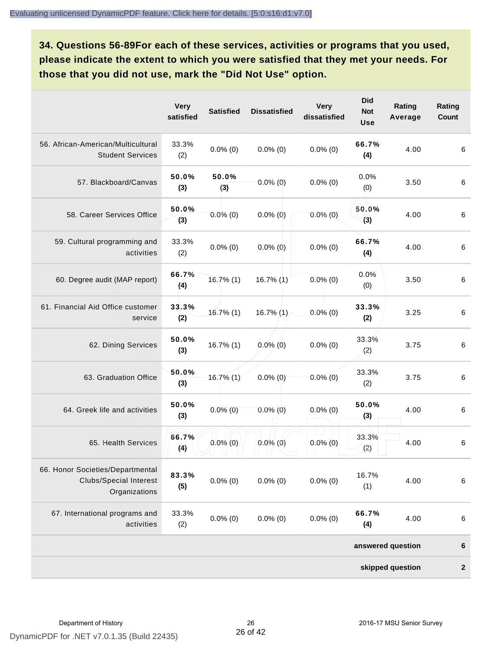**34. Questions 56-89For each of these services, activities or programs that you used, please indicate the extent to which you were satisfied that they met your needs. For those that you did not use, mark the "Did Not Use" option.**

|                                                                                    | <b>Very</b><br>satisfied | <b>Satisfied</b> | <b>Dissatisfied</b> | <b>Very</b><br>dissatisfied | <b>Did</b><br><b>Not</b><br><b>Use</b> | Rating<br>Average | Rating<br>Count  |
|------------------------------------------------------------------------------------|--------------------------|------------------|---------------------|-----------------------------|----------------------------------------|-------------------|------------------|
| 56. African-American/Multicultural<br><b>Student Services</b>                      | 33.3%<br>(2)             | $0.0\%$ (0)      | $0.0\%$ (0)         | $0.0\%$ (0)                 | 66.7%<br>(4)                           | 4.00              | $\,6\,$          |
| 57. Blackboard/Canvas                                                              | 50.0%<br>(3)             | 50.0%<br>(3)     | $0.0\%$ (0)         | $0.0\%$ (0)                 | 0.0%<br>(0)                            | 3.50              | 6                |
| 58. Career Services Office                                                         | 50.0%<br>(3)             | $0.0\%$ (0)      | $0.0\%$ (0)         | $0.0\%$ (0)                 | 50.0%<br>(3)                           | 4.00              | 6                |
| 59. Cultural programming and<br>activities                                         | 33.3%<br>(2)             | $0.0\%$ (0)      | $0.0\%$ (0)         | $0.0\%$ (0)                 | 66.7%<br>(4)                           | 4.00              | 6                |
| 60. Degree audit (MAP report)                                                      | 66.7%<br>(4)             | 16,7% (1)        | 16.7% (1)           | $0.0\%$ (0)                 | 0.0%<br>(0)                            | 3.50              | 6                |
| 61. Financial Aid Office customer<br>service                                       | 33.3%<br>(2)             | 16.7% (1)        | $16.7\%$ (1)        | $0.0\%$ (0)                 | 33.3%<br>(2)                           | 3.25              | 6                |
| 62. Dining Services                                                                | 50.0%<br>(3)             | $16.7\%$ (1)     | $0.0\%$ (0)         | $0.0\%$ (0)                 | 33.3%<br>(2)                           | 3.75              | $\,6\,$          |
| 63. Graduation Office                                                              | 50.0%<br>(3)             | $16.7\%$ $(1)$   | $0.0\%$ (0)         | $0.0\%$ (0)                 | 33.3%<br>(2)                           | 3.75              | 6                |
| 64. Greek life and activities                                                      | 50.0%<br>(3)             | $0.0\%$ (0)      | $0.0\%$ (0)         | $0.0\%$ (0)                 | 50.0%<br>(3)                           | 4.00              | $\,6\,$          |
| 65. Health Services                                                                | 66.7%<br>(4)             | $0.0\%$ (0)      | $0.0\%$ (0)         | $0.0\%$ (0)                 | 33.3%<br>(2)                           | 4.00              | 6                |
| 66. Honor Societies/Departmental<br><b>Clubs/Special Interest</b><br>Organizations | 83.3%<br>(5)             | $0.0\%$ (0)      | $0.0\%$ (0)         | $0.0\%$ (0)                 | 16.7%<br>(1)                           | 4.00              | 6                |
| 67. International programs and<br>activities                                       | 33.3%<br>(2)             | $0.0\%$ (0)      | $0.0\%$ (0)         | $0.0\%$ (0)                 | 66.7%<br>(4)                           | 4.00              | 6                |
|                                                                                    |                          |                  |                     |                             |                                        | answered question | 6                |
| skipped question                                                                   |                          |                  |                     |                             |                                        |                   | $\boldsymbol{2}$ |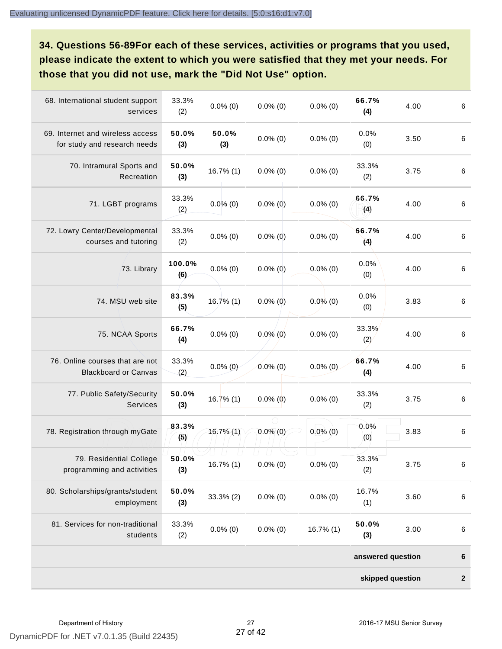**34. Questions 56-89For each of these services, activities or programs that you used, please indicate the extent to which you were satisfied that they met your needs. For those that you did not use, mark the "Did Not Use" option.**

| 68. International student support<br>services                    | 33.3%<br>(2)  | $0.0\%$ (0)    | $0.0\%$ (0) | $0.0\%$ (0)  | 66.7%<br>(4)      | 4.00 | $\,6\,$          |
|------------------------------------------------------------------|---------------|----------------|-------------|--------------|-------------------|------|------------------|
| 69. Internet and wireless access<br>for study and research needs | 50.0%<br>(3)  | 50.0%<br>(3)   | $0.0\%$ (0) | $0.0\%$ (0)  | 0.0%<br>(0)       | 3.50 | 6                |
| 70. Intramural Sports and<br>Recreation                          | 50.0%<br>(3)  | $16.7\%$ (1)   | $0.0\%$ (0) | $0.0\%$ (0)  | 33.3%<br>(2)      | 3.75 | $\,6\,$          |
| 71. LGBT programs                                                | 33.3%<br>(2)  | $0.0\%$ (0)    | $0.0\%$ (0) | $0.0\%$ (0)  | 66.7%<br>(4)      | 4.00 | $\,6\,$          |
| 72. Lowry Center/Developmental<br>courses and tutoring           | 33.3%<br>(2)  | $0.0\%$ (0)    | $0.0\%$ (0) | $0.0\%$ (0)  | 66.7%<br>(4)      | 4.00 | $\,6\,$          |
| 73. Library                                                      | 100.0%<br>(6) | $0.0\%$ (0)    | $0.0\%$ (0) | $0.0\%$ (0)  | 0.0%<br>(0)       | 4.00 | $\,6\,$          |
| 74. MSU web site                                                 | 83.3%<br>(5)  | 16.7%(1)       | $0.0\%$ (0) | $0.0\%$ (0)  | 0.0%<br>(0)       | 3.83 | $\,6\,$          |
| 75. NCAA Sports                                                  | 66.7%<br>(4)  | $0.0\%$ (0)    | $0.0\%$ (0) | $0.0\%$ (0)  | 33.3%<br>(2)      | 4.00 | $\,6\,$          |
| 76. Online courses that are not<br><b>Blackboard or Canvas</b>   | 33.3%<br>(2)  | $0.0\%$ (0)    | $0.0\%$ (0) | $0.0\%$ (0)  | 66.7%<br>(4)      | 4.00 | $\,6\,$          |
| 77. Public Safety/Security<br><b>Services</b>                    | 50.0%<br>(3)  | 16.7%(1)       | $0.0\%$ (0) | $0.0\%$ (0)  | 33.3%<br>(2)      | 3.75 | 6                |
| 78. Registration through myGate                                  | 83.3%<br>(5)  | $16.7\%$ $(1)$ | $0.0\%$ (0) | $0.0\%$ (0)  | 0.0%<br>(0)       | 3.83 | $\,6\,$          |
| 79. Residential College<br>programming and activities            | 50.0%<br>(3)  | 16.7% (1)      | $0.0\%$ (0) | $0.0\%$ (0)  | 33.3%<br>(2)      | 3.75 | $\,6\,$          |
| 80. Scholarships/grants/student<br>employment                    | 50.0%<br>(3)  | $33.3\%$ (2)   | $0.0\%$ (0) | $0.0\%$ (0)  | 16.7%<br>(1)      | 3.60 | $\,6\,$          |
| 81. Services for non-traditional<br>students                     | 33.3%<br>(2)  | $0.0\%$ (0)    | $0.0\%$ (0) | $16.7\%$ (1) | 50.0%<br>(3)      | 3.00 | $\,6\,$          |
|                                                                  |               |                |             |              | answered question |      | 6                |
|                                                                  |               |                |             |              | skipped question  |      | $\boldsymbol{2}$ |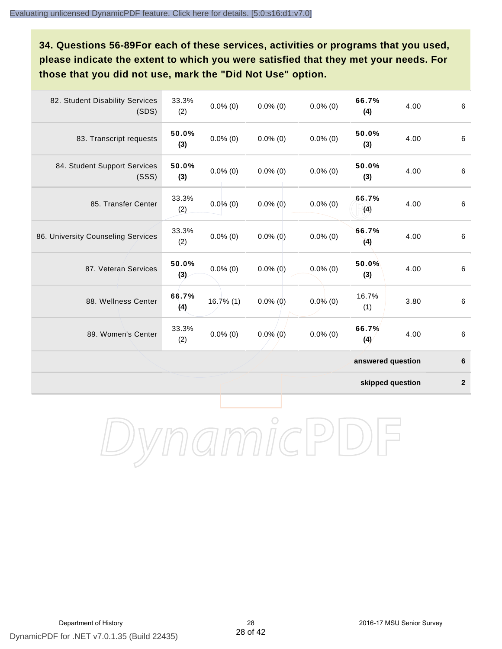**34. Questions 56-89For each of these services, activities or programs that you used, please indicate the extent to which you were satisfied that they met your needs. For those that you did not use, mark the "Did Not Use" option.**

| 82. Student Disability Services<br>(SDS) | 33.3%<br>(2) | $0.0\%$ (0)  | $0.0\%$ (0) | $0.0\%$ (0) | 66.7%<br>(4)      | 4.00 | 6       |
|------------------------------------------|--------------|--------------|-------------|-------------|-------------------|------|---------|
| 83. Transcript requests                  | 50.0%<br>(3) | $0.0\%$ (0)  | $0.0\%$ (0) | $0.0\%$ (0) | 50.0%<br>(3)      | 4.00 | $\,6\,$ |
| 84. Student Support Services<br>(SSS)    | 50.0%<br>(3) | $0.0\%$ (0)  | $0.0\%$ (0) | $0.0\%$ (0) | 50.0%<br>(3)      | 4.00 | $\,6\,$ |
| 85. Transfer Center                      | 33.3%<br>(2) | $0.0\%$ (0)  | $0.0\%$ (0) | $0.0\%$ (0) | 66.7%<br>(4)      | 4.00 | 6       |
| 86. University Counseling Services       | 33.3%<br>(2) | $0.0\%$ (0)  | $0.0\%$ (0) | $0.0\%$ (0) | 66.7%<br>(4)      | 4.00 | $\,6\,$ |
| 87. Veteran Services                     | 50.0%<br>(3) | $0.0\%$ (0)  | $0.0\%$ (0) | $0.0\%$ (0) | 50.0%<br>(3)      | 4.00 | $\,6\,$ |
| 88. Wellness Center                      | 66.7%<br>(4) | $16.7\%$ (1) | $0.0\%$ (0) | $0.0\%$ (0) | 16.7%<br>(1)      | 3.80 | 6       |
| 89. Women's Center                       | 33.3%<br>(2) | $0.0\%$ (0)  | $0.0\%$ (0) | $0.0\%$ (0) | 66.7%<br>(4)      | 4.00 | $\,6\,$ |
|                                          |              |              |             |             | answered question |      | 6       |

**skipped question 2**

DynamicPDF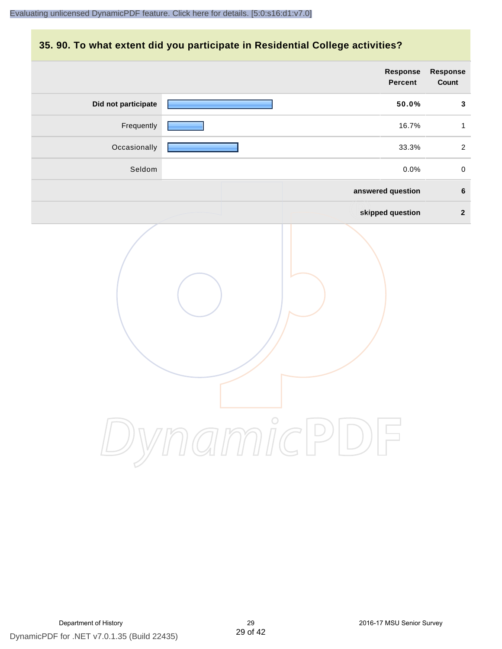#### **35. 90. To what extent did you participate in Residential College activities?**

|                     | Response<br>Percent | Response<br>Count |
|---------------------|---------------------|-------------------|
| Did not participate | 50.0%               | $\mathbf{3}$      |
| Frequently          | 16.7%               | $\mathbf{1}$      |
| Occasionally        | 33.3%               | $\overline{2}$    |
| Seldom              | 0.0%                | $\pmb{0}$         |
|                     | answered question   | $\bf 6$           |
|                     | skipped question    | $\overline{2}$    |
|                     | mamicPl<br>$\Box$   |                   |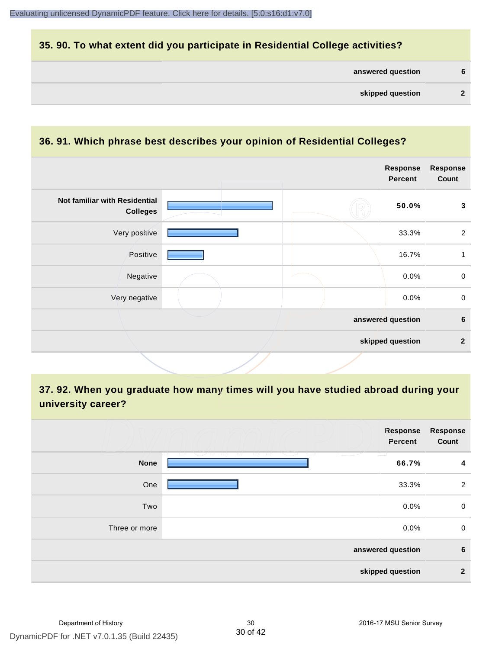#### **35. 90. To what extent did you participate in Residential College activities?**

|  | answered question | 6 |
|--|-------------------|---|
|--|-------------------|---|

#### **36. 91. Which phrase best describes your opinion of Residential Colleges?**

|                                                  |  | <b>Response</b><br><b>Percent</b> | <b>Response</b><br>Count |
|--------------------------------------------------|--|-----------------------------------|--------------------------|
| Not familiar with Residential<br><b>Colleges</b> |  | 50.0%                             | $\mathbf{3}$             |
| Very positive                                    |  | 33.3%                             | $\overline{2}$           |
| Positive                                         |  | 16.7%                             | 1                        |
| Negative                                         |  | 0.0%                              | $\mathsf{O}\xspace$      |
| Very negative                                    |  | 0.0%                              | $\mathbf 0$              |
|                                                  |  | answered question                 | $\bf 6$                  |
|                                                  |  | skipped question                  | $\mathbf{2}$             |
|                                                  |  |                                   |                          |

# **37. 92. When you graduate how many times will you have studied abroad during your university career?**

|               | Response<br>Percent                                                                                                                                                                                                                                                                                                    | <b>Response</b><br>Count |
|---------------|------------------------------------------------------------------------------------------------------------------------------------------------------------------------------------------------------------------------------------------------------------------------------------------------------------------------|--------------------------|
| <b>None</b>   | <u>tan Sabatan Ing</u><br>- 1 - 1 - 1<br>T. T<br>and the second state of the second state of the second state of the second state of the second state of the second state of the second state of the second state of the second state of the second state of the second state o<br>and the state of the state<br>66.7% | 4                        |
| One           | 33.3%                                                                                                                                                                                                                                                                                                                  | $\overline{2}$           |
| Two           | 0.0%                                                                                                                                                                                                                                                                                                                   | $\mathbf 0$              |
| Three or more | 0.0%                                                                                                                                                                                                                                                                                                                   | $\mathbf 0$              |
|               | answered question                                                                                                                                                                                                                                                                                                      | 6                        |
|               | skipped question                                                                                                                                                                                                                                                                                                       | $\overline{2}$           |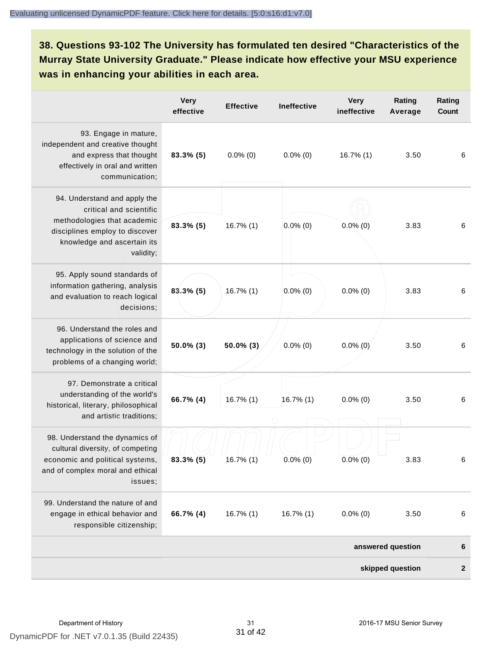**38. Questions 93-102 The University has formulated ten desired "Characteristics of the Murray State University Graduate." Please indicate how effective your MSU experience was in enhancing your abilities in each area.**

|                                                                                                                                                                      | <b>Very</b><br>effective | <b>Effective</b> | Ineffective  | <b>Very</b><br>ineffective | Rating<br>Average | Rating<br>Count |
|----------------------------------------------------------------------------------------------------------------------------------------------------------------------|--------------------------|------------------|--------------|----------------------------|-------------------|-----------------|
| 93. Engage in mature,<br>independent and creative thought<br>and express that thought<br>effectively in oral and written<br>communication;                           | $83.3\%$ (5)             | $0.0\%$ (0)      | $0.0\%$ (0)  | $16.7\%$ (1)               | 3.50              | 6               |
| 94. Understand and apply the<br>critical and scientific<br>methodologies that academic<br>disciplines employ to discover<br>knowledge and ascertain its<br>validity; | 83.3% (5)                | $16.7\%$ (1)     | $0.0\%$ (0)  | $0.0\%$ (0)                | 3.83              | 6               |
| 95. Apply sound standards of<br>information gathering, analysis<br>and evaluation to reach logical<br>decisions;                                                     | $83.3\%$ (5)             | $16.7\%$ (1)     | $0.0\%$ (0)  | $0.0\%$ (0)                | 3.83              | 6               |
| 96. Understand the roles and<br>applications of science and<br>technology in the solution of the<br>problems of a changing world;                                    | 50.0% (3)                | 50.0% (3)        | $0.0\%$ (0)  | $0.0\%$ (0)                | 3.50              | 6               |
| 97. Demonstrate a critical<br>understanding of the world's<br>historical, literary, philosophical<br>and artistic traditions;                                        | 66.7% (4)                | $16.7\%$ (1)     | $16.7\%$ (1) | $0.0\%$ (0)                | 3.50              | 6               |
| 98. Understand the dynamics of<br>cultural diversity, of competing<br>economic and political systems,<br>and of complex moral and ethical<br>issues:                 | 83.3% (5)                | 16.7% (1)        | $0.0\%$ (0)  | $0.0\%$ (0)                | 3.83              | 6               |
| 99. Understand the nature of and<br>engage in ethical behavior and<br>responsible citizenship;                                                                       | 66.7% (4)                | 16.7% (1)        | 16.7% (1)    | $0.0\%$ (0)                | 3.50              | 6               |
|                                                                                                                                                                      | answered question        |                  |              |                            |                   |                 |
| skipped question                                                                                                                                                     |                          |                  |              |                            |                   | $\mathbf{2}$    |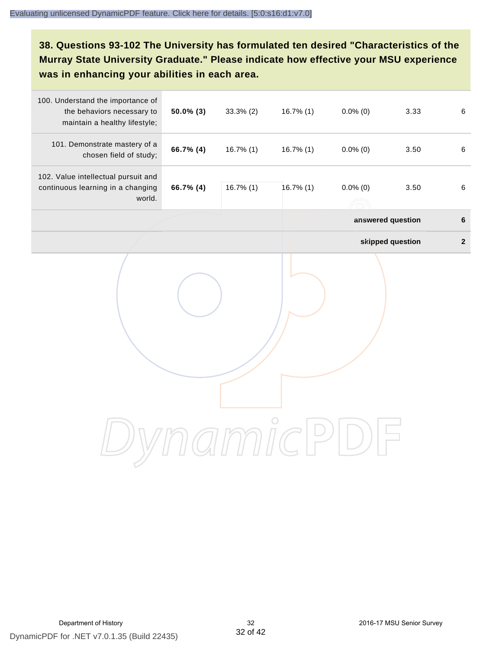# **38. Questions 93-102 The University has formulated ten desired "Characteristics of the Murray State University Graduate." Please indicate how effective your MSU experience was in enhancing your abilities in each area.**

| 100. Understand the importance of<br>the behaviors necessary to<br>maintain a healthy lifestyle; | 50.0% (3) | 33.3% (2)    | $16.7\%$ (1) | $0.0\%$ (0)       | 3.33             | $\,6\,$      |
|--------------------------------------------------------------------------------------------------|-----------|--------------|--------------|-------------------|------------------|--------------|
| 101. Demonstrate mastery of a<br>chosen field of study;                                          | 66.7% (4) | 16.7% (1)    | 16.7% (1)    | $0.0\%$ (0)       | 3.50             | $\,6\,$      |
| 102. Value intellectual pursuit and<br>continuous learning in a changing<br>world.               | 66.7% (4) | $16.7\%$ (1) | 16.7% (1)    | $0.0\%$ (0)       | 3.50             | $\,6\,$      |
|                                                                                                  |           |              |              | answered question |                  | $\bf 6$      |
|                                                                                                  |           |              |              |                   | skipped question | $\mathbf{2}$ |
|                                                                                                  |           |              |              |                   |                  |              |
|                                                                                                  |           |              |              |                   |                  |              |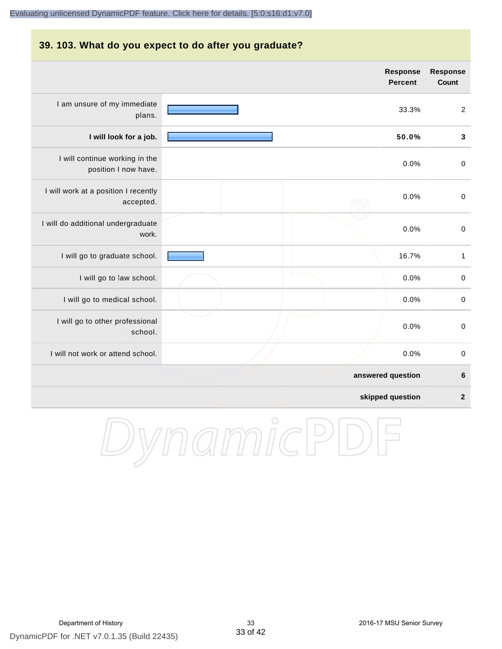# **39. 103. What do you expect to do after you graduate?**

|                                                        | <b>Response</b><br><b>Percent</b> | Response<br><b>Count</b> |
|--------------------------------------------------------|-----------------------------------|--------------------------|
| I am unsure of my immediate<br>plans.                  | 33.3%                             | $\overline{2}$           |
| I will look for a job.                                 | 50.0%                             | $\mathbf{3}$             |
| I will continue working in the<br>position I now have. | 0.0%                              | $\pmb{0}$                |
| I will work at a position I recently<br>accepted.      | 0.0%                              | $\boldsymbol{0}$         |
| I will do additional undergraduate<br>work.            | 0.0%                              | $\pmb{0}$                |
| I will go to graduate school.                          | 16.7%                             | $\mathbf{1}$             |
| I will go to law school.                               | 0.0%                              | $\,0\,$                  |
| I will go to medical school.                           | 0.0%                              | $\boldsymbol{0}$         |
| I will go to other professional<br>school.             | 0.0%                              | $\boldsymbol{0}$         |
| I will not work or attend school.                      | 0.0%                              | $\boldsymbol{0}$         |
|                                                        | answered question                 | 6                        |
|                                                        | skipped question                  | $\boldsymbol{2}$         |

DynamicPDF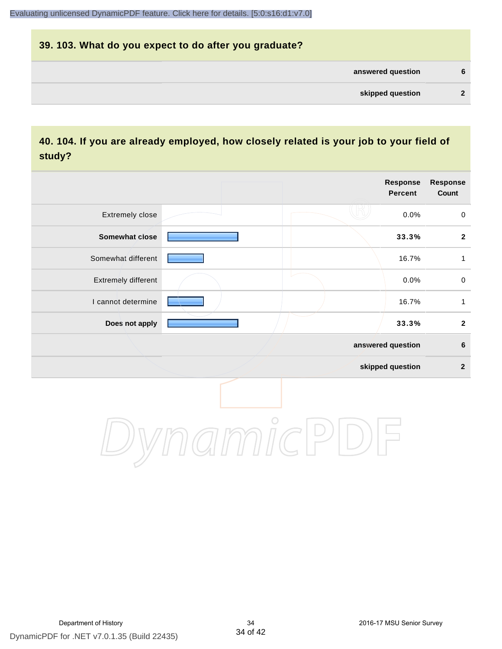# **39. 103. What do you expect to do after you graduate? answered question 6 skipped question 2**

## **40. 104. If you are already employed, how closely related is your job to your field of study?**

|                     |            | Response<br><b>Percent</b> | Response<br>Count   |
|---------------------|------------|----------------------------|---------------------|
| Extremely close     |            | 0.0%                       | $\mathsf{O}\xspace$ |
| Somewhat close      |            | 33.3%                      | $\overline{2}$      |
| Somewhat different  |            | 16.7%                      | $\mathbf{1}$        |
| Extremely different |            | 0.0%                       | $\mathbf 0$         |
| I cannot determine  |            | 16.7%                      | 1                   |
| Does not apply      |            | 33.3%                      | $\mathbf{2}$        |
|                     |            | answered question          | $\bf 6$             |
|                     |            | skipped question           | $\mathbf{2}$        |
|                     | $\bigcirc$ |                            |                     |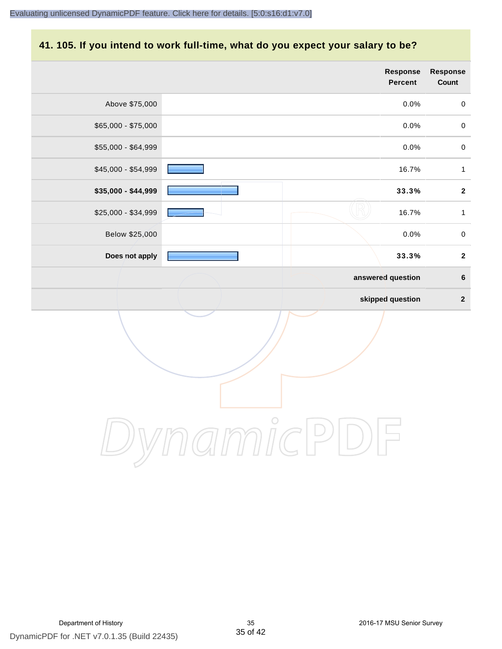#### **41. 105. If you intend to work full-time, what do you expect your salary to be?**

|                     |                   | <b>Response</b><br>Percent | <b>Response</b><br>Count |
|---------------------|-------------------|----------------------------|--------------------------|
| Above \$75,000      |                   | 0.0%                       | $\pmb{0}$                |
| $$65,000 - $75,000$ |                   | 0.0%                       | $\mathbf 0$              |
| \$55,000 - \$64,999 |                   | 0.0%                       | $\mathbf 0$              |
| \$45,000 - \$54,999 |                   | 16.7%                      | $\mathbf{1}$             |
| \$35,000 - \$44,999 |                   | 33.3%                      | $\mathbf{2}$             |
| \$25,000 - \$34,999 |                   | 16.7%                      | $\mathbf{1}$             |
| Below \$25,000      |                   | 0.0%                       | $\pmb{0}$                |
| Does not apply      |                   | 33.3%                      | $\boldsymbol{2}$         |
|                     | answered question |                            | $\bf 6$                  |
|                     | skipped question  |                            | $\boldsymbol{2}$         |
|                     |                   |                            |                          |
|                     | $\bigcirc$        |                            |                          |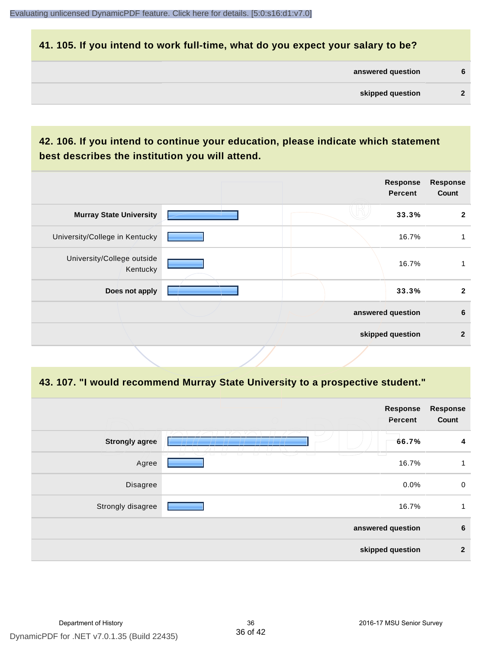#### **41. 105. If you intend to work full-time, what do you expect your salary to be?**

| answered question | 6 |
|-------------------|---|
|                   |   |

## **42. 106. If you intend to continue your education, please indicate which statement best describes the institution you will attend.**

|                                        |  | <b>Response</b><br><b>Percent</b> | <b>Response</b><br>Count |
|----------------------------------------|--|-----------------------------------|--------------------------|
| <b>Murray State University</b>         |  | 33.3%                             | $\overline{2}$           |
| University/College in Kentucky         |  | 16.7%                             | 1                        |
| University/College outside<br>Kentucky |  | 16.7%                             |                          |
| Does not apply                         |  | 33.3%                             | $\overline{2}$           |
|                                        |  | answered question                 | 6                        |
|                                        |  | skipped question                  | $\mathbf{2}$             |
|                                        |  |                                   |                          |

#### **43. 107. "I would recommend Murray State University to a prospective student."**

|                       | Response<br>Percent                                                           | <b>Response</b><br>Count |
|-----------------------|-------------------------------------------------------------------------------|--------------------------|
| <b>Strongly agree</b> | 66.7%<br>m                                                                    | 4                        |
| Agree                 | T<br><b>11 11</b><br>T<br>$\overline{\phantom{0}}$<br>$\overline{1}$<br>16.7% | 1                        |
| Disagree              | 0.0%                                                                          | $\mathbf 0$              |
| Strongly disagree     | 16.7%                                                                         | 1                        |
|                       | answered question                                                             | $6\phantom{1}6$          |
|                       | skipped question                                                              | $\overline{2}$           |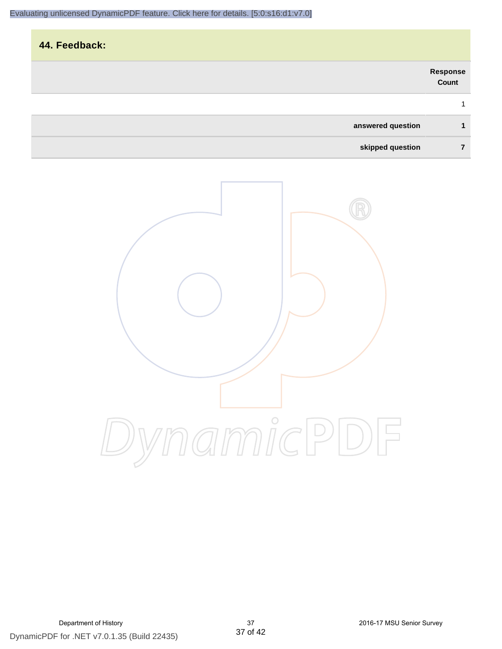# **44. Feedback: answered question 1 skipped question 7 Response Count** 1

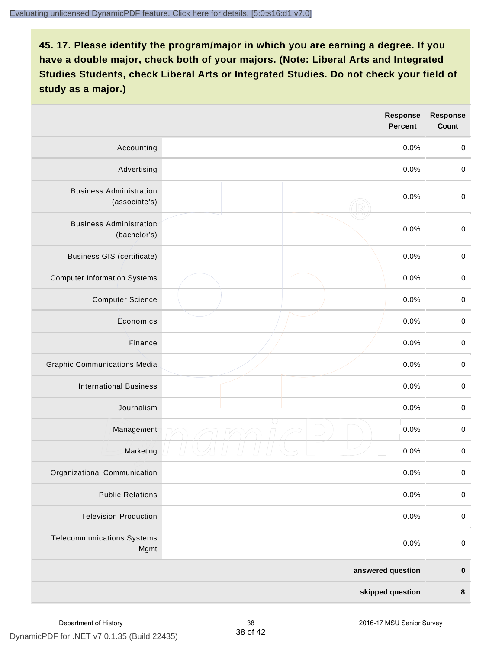|                                                 | <b>Response</b><br><b>Percent</b> | <b>Response</b><br><b>Count</b> |
|-------------------------------------------------|-----------------------------------|---------------------------------|
| Accounting                                      | 0.0%                              | $\mathbf 0$                     |
| Advertising                                     | 0.0%                              | $\pmb{0}$                       |
| <b>Business Administration</b><br>(associate's) | 0.0%                              | $\pmb{0}$                       |
| <b>Business Administration</b><br>(bachelor's)  | 0.0%                              | $\,0\,$                         |
| <b>Business GIS (certificate)</b>               | 0.0%                              | $\mathbf 0$                     |
| <b>Computer Information Systems</b>             | 0.0%                              | $\,0\,$                         |
| <b>Computer Science</b>                         | 0.0%                              | $\mathbf 0$                     |
| Economics                                       | 0.0%                              | $\pmb{0}$                       |
| Finance                                         | 0.0%                              | $\pmb{0}$                       |
| <b>Graphic Communications Media</b>             | 0.0%                              | $\mathbf 0$                     |
| <b>International Business</b>                   | 0.0%                              | $\pmb{0}$                       |
| Journalism                                      | 0.0%                              | $\mathbf 0$                     |
| Management                                      | 0.0%                              | $\pmb{0}$                       |
| Marketing                                       | 0.0%                              | $\,0\,$                         |
| Organizational Communication                    | 0.0%                              | $\pmb{0}$                       |
| <b>Public Relations</b>                         | 0.0%                              | $\mathbf 0$                     |
| <b>Television Production</b>                    | 0.0%                              | $\mathsf 0$                     |
| <b>Telecommunications Systems</b><br>Mgmt       | 0.0%                              | $\mathbf 0$                     |
|                                                 | answered question                 | $\pmb{0}$                       |
|                                                 | skipped question                  | $\pmb{8}$                       |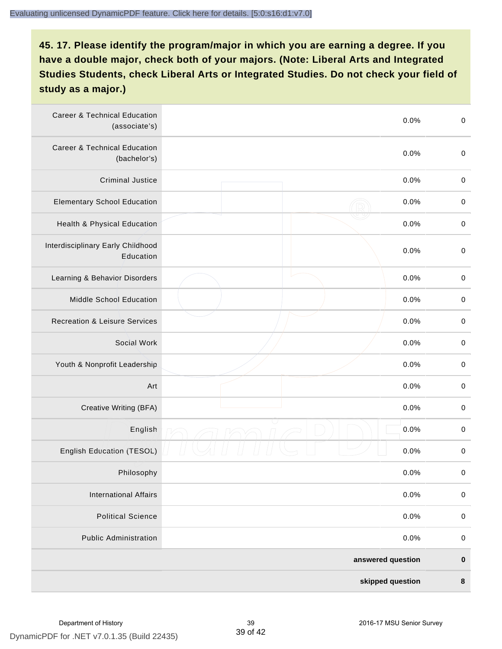| <b>Career &amp; Technical Education</b><br>(associate's) |                  | 0.0%              | $\pmb{0}$   |
|----------------------------------------------------------|------------------|-------------------|-------------|
| <b>Career &amp; Technical Education</b><br>(bachelor's)  |                  | 0.0%              | $\mathbf 0$ |
| <b>Criminal Justice</b>                                  |                  | 0.0%              | $\pmb{0}$   |
| <b>Elementary School Education</b>                       |                  | 0.0%              | $\pmb{0}$   |
| Health & Physical Education                              |                  | 0.0%              | $\pmb{0}$   |
| Interdisciplinary Early Childhood<br>Education           |                  | 0.0%              | $\pmb{0}$   |
| Learning & Behavior Disorders                            |                  | 0.0%              | $\pmb{0}$   |
| Middle School Education                                  |                  | 0.0%              | $\mathbf 0$ |
| <b>Recreation &amp; Leisure Services</b>                 |                  | 0.0%              | $\mathbf 0$ |
| Social Work                                              |                  | 0.0%              | $\mathbf 0$ |
| Youth & Nonprofit Leadership                             |                  | 0.0%              | $\mathbf 0$ |
| Art                                                      |                  | 0.0%              | $\pmb{0}$   |
| Creative Writing (BFA)                                   |                  | 0.0%              | $\pmb{0}$   |
| English                                                  |                  | 0.0%              | $\pmb{0}$   |
| English Education (TESOL)                                |                  | 0.0%              | $\pmb{0}$   |
| Philosophy                                               |                  | 0.0%              | 0           |
| <b>International Affairs</b>                             |                  | 0.0%              | $\pmb{0}$   |
| <b>Political Science</b>                                 |                  | 0.0%              | $\mathbf 0$ |
| <b>Public Administration</b>                             |                  | 0.0%              | $\mathbf 0$ |
|                                                          |                  | answered question | $\pmb{0}$   |
|                                                          | skipped question |                   | $\pmb{8}$   |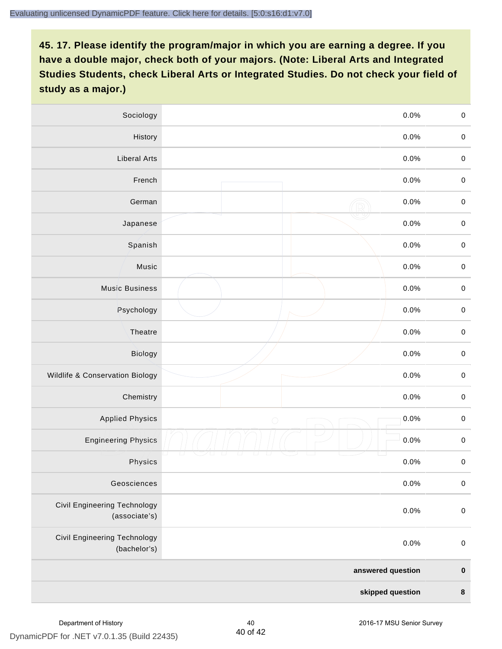| Sociology                                     |            | 0.0%              | $\mathbf 0$ |
|-----------------------------------------------|------------|-------------------|-------------|
| History                                       |            | $0.0\%$           | $\mathbf 0$ |
| <b>Liberal Arts</b>                           |            | 0.0%              | $\mathbf 0$ |
| French                                        |            | 0.0%              | $\pmb{0}$   |
| German                                        |            | 0.0%              | $\mathbf 0$ |
| Japanese                                      |            | 0.0%              | $\mathbf 0$ |
| Spanish                                       |            | 0.0%              | $\mathbf 0$ |
| Music                                         |            | 0.0%              | $\mathbf 0$ |
| <b>Music Business</b>                         |            | 0.0%              | $\pmb{0}$   |
| Psychology                                    |            | 0.0%              | $\mathbf 0$ |
| Theatre                                       |            | 0.0%              | $\mathbf 0$ |
| Biology                                       |            | 0.0%              | $\mathbf 0$ |
| Wildlife & Conservation Biology               |            | 0.0%              | $\mathbf 0$ |
| Chemistry                                     |            | 0.0%              | $\pmb{0}$   |
| <b>Applied Physics</b>                        | $\bigcirc$ | 0.0%              | $\mathbf 0$ |
| <b>Engineering Physics</b>                    |            | 0.0%              | $\mathbf 0$ |
| Physics                                       |            | 0.0%              | $\mathbf 0$ |
| Geosciences                                   |            | 0.0%              | $\mathbf 0$ |
| Civil Engineering Technology<br>(associate's) |            | 0.0%              | $\pmb{0}$   |
| Civil Engineering Technology<br>(bachelor's)  |            | 0.0%              | $\pmb{0}$   |
|                                               |            | answered question | $\pmb{0}$   |
|                                               |            | skipped question  | $\pmb{8}$   |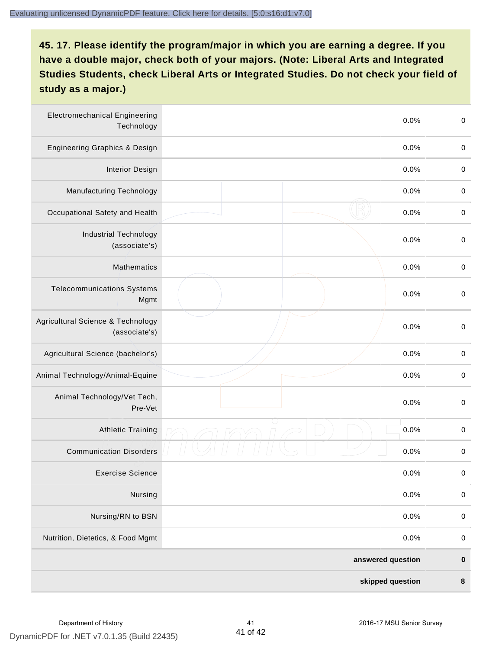| <b>Electromechanical Engineering</b><br>Technology |                   | 0.0%             | $\mathbf 0$ |
|----------------------------------------------------|-------------------|------------------|-------------|
| <b>Engineering Graphics &amp; Design</b>           |                   | 0.0%             | $\mathbf 0$ |
| <b>Interior Design</b>                             |                   | 0.0%             | $\pmb{0}$   |
| Manufacturing Technology                           |                   | 0.0%             | $\pmb{0}$   |
| Occupational Safety and Health                     |                   | 0.0%             | $\pmb{0}$   |
| <b>Industrial Technology</b><br>(associate's)      |                   | 0.0%             | $\pmb{0}$   |
| <b>Mathematics</b>                                 |                   | 0.0%             | $\pmb{0}$   |
| <b>Telecommunications Systems</b><br>Mgmt          |                   | 0.0%             | $\pmb{0}$   |
| Agricultural Science & Technology<br>(associate's) |                   | 0.0%             | $\mathbf 0$ |
| Agricultural Science (bachelor's)                  |                   | 0.0%             | $\mathbf 0$ |
| Animal Technology/Animal-Equine                    |                   | 0.0%             | $\pmb{0}$   |
| Animal Technology/Vet Tech,<br>Pre-Vet             |                   | 0.0%             | $\pmb{0}$   |
| <b>Athletic Training</b>                           |                   | 0.0%             | $\pmb{0}$   |
| <b>Communication Disorders</b>                     |                   | 0.0%             | $\pmb{0}$   |
| <b>Exercise Science</b>                            |                   | 0.0%             | $\pmb{0}$   |
| Nursing                                            |                   | 0.0%             | $\mathbf 0$ |
| Nursing/RN to BSN                                  |                   | 0.0%             | $\pmb{0}$   |
| Nutrition, Dietetics, & Food Mgmt                  |                   | 0.0%             | $\,0\,$     |
|                                                    | answered question |                  | $\pmb{0}$   |
|                                                    |                   | skipped question | $\pmb{8}$   |